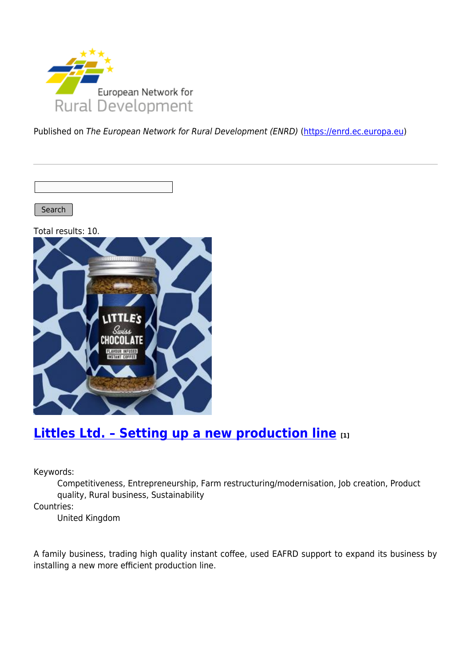

Published on The European Network for Rural Development (ENRD) [\(https://enrd.ec.europa.eu](https://enrd.ec.europa.eu))

Search |

Total results: 10.



### **[Littles Ltd. – Setting up a new production line](https://enrd.ec.europa.eu/projects-practice/littles-ltd-setting-new-production-line_en) [1]**

Keywords:

Competitiveness, Entrepreneurship, Farm restructuring/modernisation, Job creation, Product quality, Rural business, Sustainability

Countries:

United Kingdom

A family business, trading high quality instant coffee, used EAFRD support to expand its business by installing a new more efficient production line.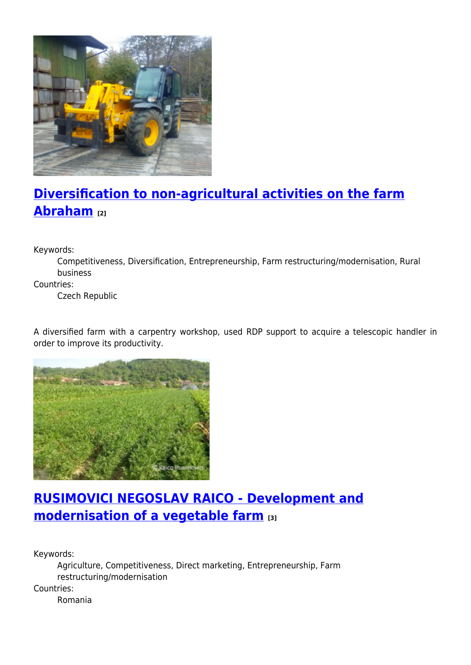

# **[Diversification to non-agricultural activities on the farm](https://enrd.ec.europa.eu/projects-practice/diversification-non-agricultural-activities-farm-abraham_en) [Abraham](https://enrd.ec.europa.eu/projects-practice/diversification-non-agricultural-activities-farm-abraham_en) [2]**

Keywords:

Competitiveness, Diversification, Entrepreneurship, Farm restructuring/modernisation, Rural business

Countries:

Czech Republic

A diversified farm with a carpentry workshop, used RDP support to acquire a telescopic handler in order to improve its productivity.



## **[RUSIMOVICI NEGOSLAV RAICO - Development and](https://enrd.ec.europa.eu/projects-practice/rusimovici-negoslav-raico-development-and-modernisation-vegetable-farm_en) [modernisation of a vegetable farm](https://enrd.ec.europa.eu/projects-practice/rusimovici-negoslav-raico-development-and-modernisation-vegetable-farm_en) [3]**

Keywords:

Agriculture, Competitiveness, Direct marketing, Entrepreneurship, Farm restructuring/modernisation Countries: Romania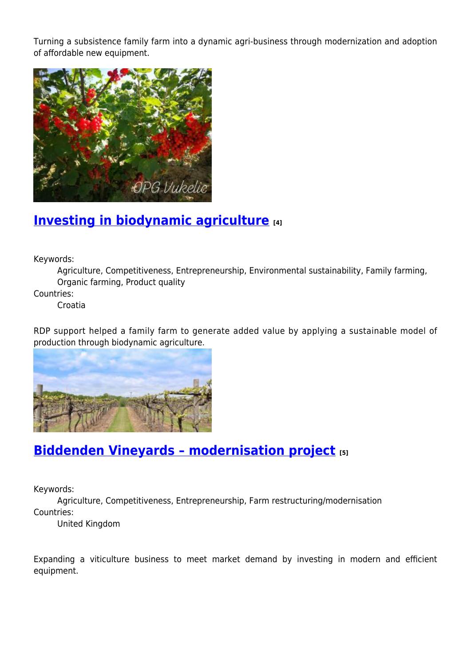Turning a subsistence family farm into a dynamic agri-business through modernization and adoption of affordable new equipment.



### **[Investing in biodynamic agriculture](https://enrd.ec.europa.eu/projects-practice/investing-biodynamic-agriculture_en) [4]**

Keywords:

Agriculture, Competitiveness, Entrepreneurship, Environmental sustainability, Family farming, Organic farming, Product quality

Countries:

Croatia

RDP support helped a family farm to generate added value by applying a sustainable model of production through biodynamic agriculture.



### **[Biddenden Vineyards – modernisation project](https://enrd.ec.europa.eu/projects-practice/biddenden-vineyards-modernisation-project_en) [5]**

Keywords:

Agriculture, Competitiveness, Entrepreneurship, Farm restructuring/modernisation Countries:

United Kingdom

Expanding a viticulture business to meet market demand by investing in modern and efficient equipment.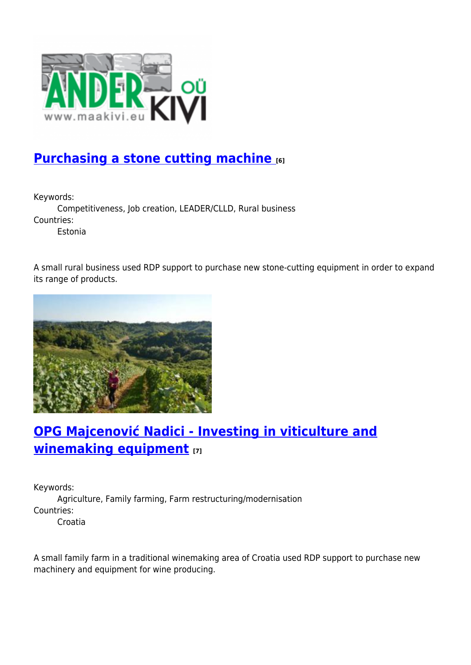

## **[Purchasing a stone cutting machine](https://enrd.ec.europa.eu/projects-practice/purchasing-stone-cutting-machine_en) [6]**

Keywords:

Competitiveness, Job creation, LEADER/CLLD, Rural business Countries:

Estonia

A small rural business used RDP support to purchase new stone-cutting equipment in order to expand its range of products.



## **[OPG Majcenović Nadici - Investing in viticulture and](https://enrd.ec.europa.eu/projects-practice/opg-majcenovic-nadici-investing-viticulture-and-winemaking-equipment_en) [winemaking equipment](https://enrd.ec.europa.eu/projects-practice/opg-majcenovic-nadici-investing-viticulture-and-winemaking-equipment_en) [7]**

Keywords: Agriculture, Family farming, Farm restructuring/modernisation Countries: Croatia

A small family farm in a traditional winemaking area of Croatia used RDP support to purchase new machinery and equipment for wine producing.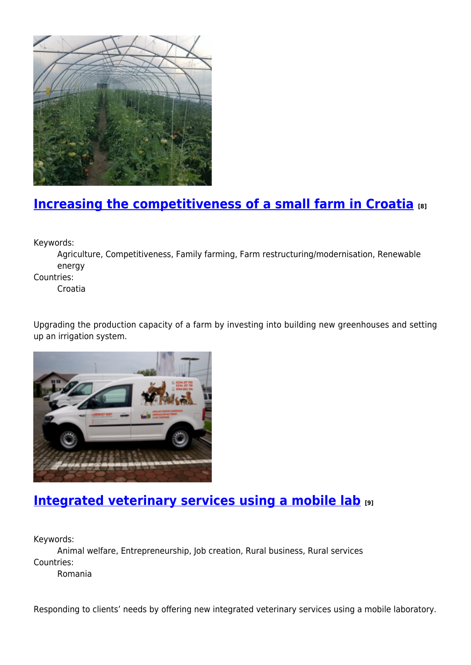

## **[Increasing the competitiveness of a small farm in Croatia](https://enrd.ec.europa.eu/projects-practice/increasing-competitiveness-small-farm-croatia_en) [8]**

Keywords:

Agriculture, Competitiveness, Family farming, Farm restructuring/modernisation, Renewable energy

Countries:

Croatia

Upgrading the production capacity of a farm by investing into building new greenhouses and setting up an irrigation system.



### **[Integrated veterinary services using a mobile lab](https://enrd.ec.europa.eu/projects-practice/integrated-veterinary-services-using-mobile-lab_en) [9]**

Keywords:

Animal welfare, Entrepreneurship, Job creation, Rural business, Rural services Countries:

Romania

Responding to clients' needs by offering new integrated veterinary services using a mobile laboratory.